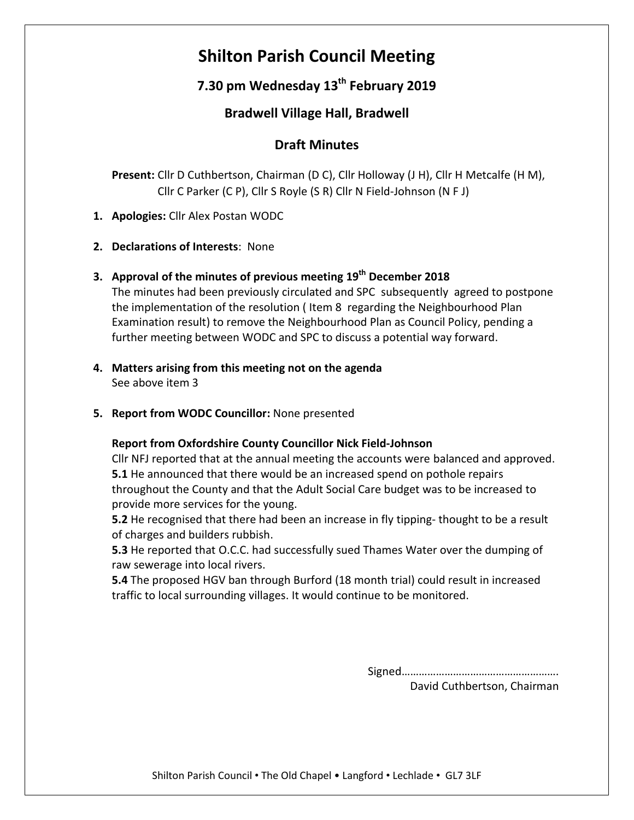# **Shilton Parish Council Meeting**

## **7.30 pm Wednesday 13th February 2019**

## **Bradwell Village Hall, Bradwell**

### **Draft Minutes**

**Present:** Cllr D Cuthbertson, Chairman (D C), Cllr Holloway (J H), Cllr H Metcalfe (H M), Cllr C Parker (C P), Cllr S Royle (S R) Cllr N Field-Johnson (N F J)

- **1. Apologies:** Cllr Alex Postan WODC
- **2. Declarations of Interests**: None
- **3. Approval of the minutes of previous meeting 19th December 2018**

The minutes had been previously circulated and SPC subsequently agreed to postpone the implementation of the resolution ( Item 8 regarding the Neighbourhood Plan Examination result) to remove the Neighbourhood Plan as Council Policy, pending a further meeting between WODC and SPC to discuss a potential way forward.

- **4. Matters arising from this meeting not on the agenda** See above item 3
- **5. Report from WODC Councillor:** None presented

#### **Report from Oxfordshire County Councillor Nick Field-Johnson**

Cllr NFJ reported that at the annual meeting the accounts were balanced and approved. **5.1** He announced that there would be an increased spend on pothole repairs throughout the County and that the Adult Social Care budget was to be increased to provide more services for the young.

**5.2** He recognised that there had been an increase in fly tipping- thought to be a result of charges and builders rubbish.

**5.3** He reported that O.C.C. had successfully sued Thames Water over the dumping of raw sewerage into local rivers.

**5.4** The proposed HGV ban through Burford (18 month trial) could result in increased traffic to local surrounding villages. It would continue to be monitored.

> Signed………………………………………………. David Cuthbertson, Chairman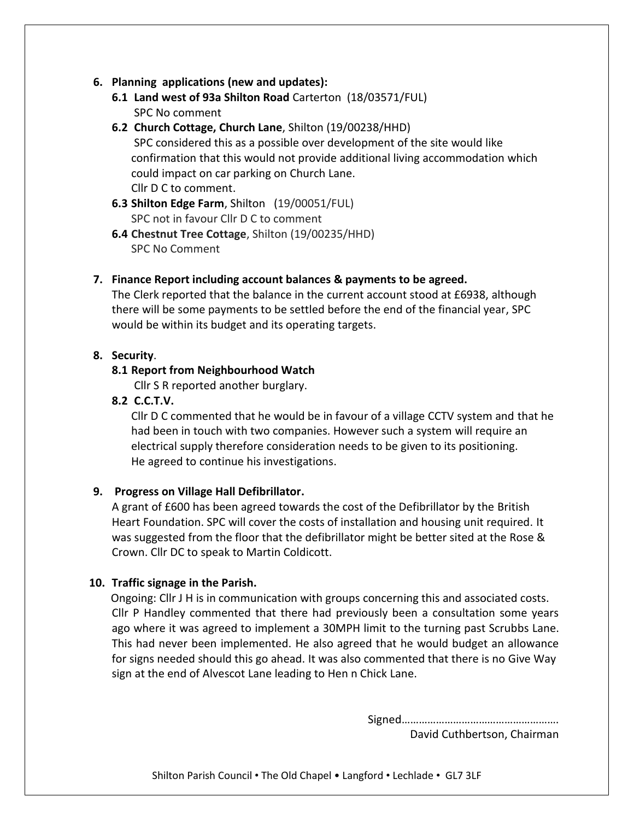#### **6. Planning applications (new and updates):**

- **6.1 Land west of 93a Shilton Road** Carterton (18/03571/FUL) SPC No comment
- **6.2 Church Cottage, Church Lane**, Shilton (19/00238/HHD) SPC considered this as a possible over development of the site would like confirmation that this would not provide additional living accommodation which could impact on car parking on Church Lane. Cllr D C to comment.
- **6.3 Shilton Edge Farm**, Shilton (19/00051/FUL) SPC not in favour Cllr D C to comment
- **6.4 Chestnut Tree Cottage**, Shilton (19/00235/HHD) SPC No Comment

#### **7. Finance Report including account balances & payments to be agreed.**

The Clerk reported that the balance in the current account stood at £6938, although there will be some payments to be settled before the end of the financial year, SPC would be within its budget and its operating targets.

#### **8. Security**.

#### **8.1 Report from Neighbourhood Watch**

Cllr S R reported another burglary.

#### **8.2 C.C.T.V.**

Cllr D C commented that he would be in favour of a village CCTV system and that he had been in touch with two companies. However such a system will require an electrical supply therefore consideration needs to be given to its positioning. He agreed to continue his investigations.

#### **9. Progress on Village Hall Defibrillator.**

A grant of £600 has been agreed towards the cost of the Defibrillator by the British Heart Foundation. SPC will cover the costs of installation and housing unit required. It was suggested from the floor that the defibrillator might be better sited at the Rose & Crown. Cllr DC to speak to Martin Coldicott.

#### **10. Traffic signage in the Parish.**

 Ongoing: Cllr J H is in communication with groups concerning this and associated costs. Cllr P Handley commented that there had previously been a consultation some years ago where it was agreed to implement a 30MPH limit to the turning past Scrubbs Lane. This had never been implemented. He also agreed that he would budget an allowance for signs needed should this go ahead. It was also commented that there is no Give Way sign at the end of Alvescot Lane leading to Hen n Chick Lane.

Signed……………………………………………….

David Cuthbertson, Chairman